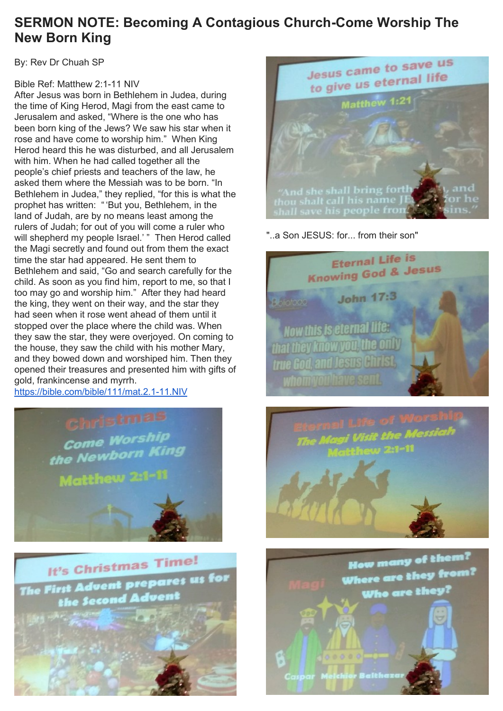#### **SERMON NOTE: Becoming A Contagious Church-Come Worship The New Born King**

By: Rev Dr Chuah SP

#### Bible Ref: Matthew 2:1-11 NIV

After Jesus was born in Bethlehem in Judea, during the time of King Herod, Magi from the east came to Jerusalem and asked, "Where is the one who has been born king of the Jews? We saw his star when it rose and have come to worship him." When King Herod heard this he was disturbed, and all Jerusalem with him. When he had called together all the people's chief priests and teachers of the law, he asked them where the Messiah was to be born. "In Bethlehem in Judea," they replied, "for this is what the prophet has written: "'But you, Bethlehem, in the land of Judah, are by no means least among the rulers of Judah; for out of you will come a ruler who will shepherd my people Israel.' " Then Herod called the Magi secretly and found out from them the exact time the star had appeared. He sent them to Bethlehem and said, "Go and search carefully for the child. As soon as you find him, report to me, so that I too may go and worship him." After they had heard the king, they went on their way, and the star they had seen when it rose went ahead of them until it stopped over the place where the child was. When they saw the star, they were overjoyed. On coming to the house, they saw the child with his mother Mary, and they bowed down and worshiped him. Then they opened their treasures and presented him with gifts of gold, frankincense and myrrh.

<https://bible.com/bible/111/mat.2.1-11.NIV>



It's Christmas Time! The First Advent prepares us for the Second Advent



"..a Son JESUS: for... from their son"





How many of them? Where are they from? Who are they?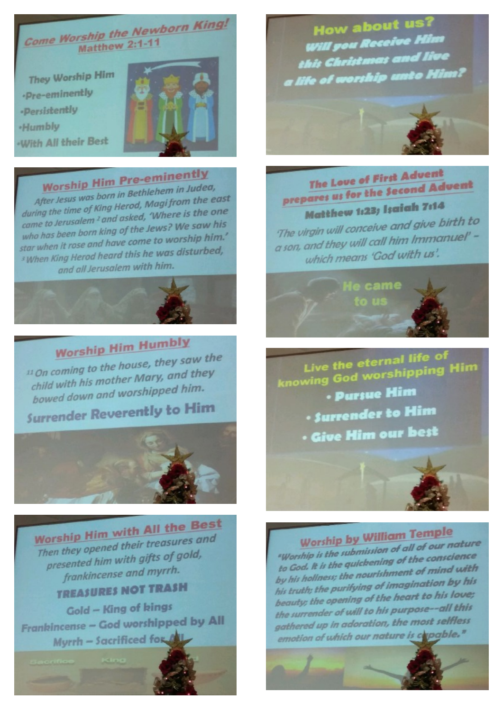

**They Worship Him** ·Pre-eminently -Persistently ·Humbly ·With All their Best



# **Worship Him Pre-eminently**

After Jesus was born in Bethlehem in Judea, during the time of King Herod, Magi from the east came to Jerusalem <sup>2</sup> and asked, 'Where is the one who has been born king of the Jews? We saw his star when it rose and have come to worship him.' <sup>3</sup> When King Herod heard this he was disturbed, and all Jerusalem with him.

## **Worship Him Humbly**

<sup>11</sup>On coming to the house, they saw the child with his mother Mary, and they bowed down and worshipped him.

**Surrender Reverently to Him** 



**Worship Him with All the Best** Then they opened their treasures and presented him with gifts of gold, frankincense and myrrh.

**TREASURES NOT TRASH** 

Gold - King of kings Frankincense - God worshipped by All Myrrh - Sacrificed for





**The Love of First Advent** prepares us for the Second Advent Matthew 1:23; Isaiah 7:14

'The virgin will conceive and give birth to a son, and they will call him Immanuel' which means 'God with us'.



Live the eternal life of knowing God worshipping Him · Pursue Him · Surrender to Him · Give Him our best



## **Worship by William Temple**

"Worship is the submission of all of our nature to God. It is the quickening of the conscience by his holiness; the nourishment of mind with his truth; the purifying of imagination by his beauty; the opening of the heart to his love; the surrender of will to his purpose--all this gathered up in adoration, the most selfless emotion of which our nature is capable."